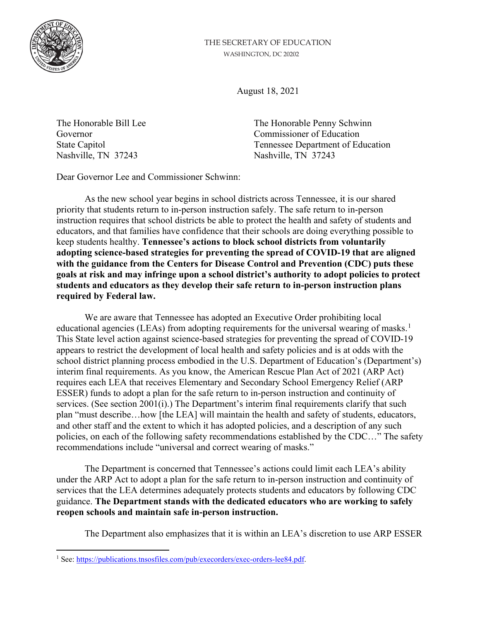

## THE SECRETARY OF EDUCATION WASHINGTON, DC 20202

August 18, 2021

Nashville, TN 37243 Nashville, TN 37243

The Honorable Bill Lee The Honorable Penny Schwinn Governor Commissioner of Education State Capitol Tennessee Department of Education

Dear Governor Lee and Commissioner Schwinn:

As the new school year begins in school districts across Tennessee, it is our shared priority that students return to in-person instruction safely. The safe return to in-person instruction requires that school districts be able to protect the health and safety of students and educators, and that families have confidence that their schools are doing everything possible to keep students healthy. **Tennessee's actions to block school districts from voluntarily adopting science-based strategies for preventing the spread of COVID-19 that are aligned with the guidance from the Centers for Disease Control and Prevention (CDC) puts these goals at risk and may infringe upon a school district's authority to adopt policies to protect students and educators as they develop their safe return to in-person instruction plans required by Federal law.**

We are aware that Tennessee has adopted an Executive Order prohibiting local educational agencies (LEAs) from adopting requirements for the universal wearing of masks.<sup>[1](#page-0-0)</sup> This State level action against science-based strategies for preventing the spread of COVID-19 appears to restrict the development of local health and safety policies and is at odds with the school district planning process embodied in the U.S. Department of Education's (Department's) interim final requirements. As you know, the American Rescue Plan Act of 2021 (ARP Act) requires each LEA that receives Elementary and Secondary School Emergency Relief (ARP ESSER) funds to adopt a plan for the safe return to in-person instruction and continuity of services. (See section 2001(i).) The Department's interim final requirements clarify that such plan "must describe…how [the LEA] will maintain the health and safety of students, educators, and other staff and the extent to which it has adopted policies, and a description of any such policies, on each of the following safety recommendations established by the CDC…" The safety recommendations include "universal and correct wearing of masks."

The Department is concerned that Tennessee's actions could limit each LEA's ability under the ARP Act to adopt a plan for the safe return to in-person instruction and continuity of services that the LEA determines adequately protects students and educators by following CDC guidance. **The Department stands with the dedicated educators who are working to safely reopen schools and maintain safe in-person instruction.**

The Department also emphasizes that it is within an LEA's discretion to use ARP ESSER

<span id="page-0-0"></span><sup>&</sup>lt;sup>1</sup> See: [https://publications.tnsosfiles.com/pub/execorders/exec-orders-lee84.pdf.](https://publications.tnsosfiles.com/pub/execorders/exec-orders-lee84.pdf)